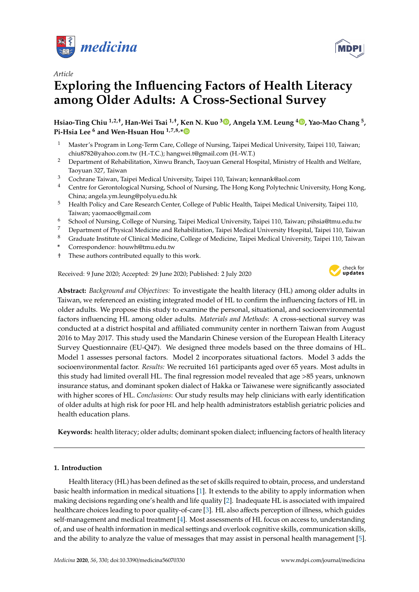



# **Exploring the Influencing Factors of Health Literacy among Older Adults: A Cross-Sectional Survey**

**Hsiao-Ting Chiu 1,2,**† **, Han-Wei Tsai 1,**† **, Ken N. Kuo <sup>3</sup> [,](https://orcid.org/0000-0002-7396-1158) Angela Y.M. Leung [4](https://orcid.org/0000-0002-9836-1925) , Yao-Mao Chang <sup>5</sup> , Pi-Hsia Lee <sup>6</sup> and Wen-Hsuan Hou 1,7,8,[\\*](https://orcid.org/0000-0002-4376-6298)**

- <sup>1</sup> Master's Program in Long-Term Care, College of Nursing, Taipei Medical University, Taipei 110, Taiwan; chiu8782@yahoo.com.tw (H.-T.C.); hangwei.t@gmail.com (H.-W.T.)
- <sup>2</sup> Department of Rehabilitation, Xinwu Branch, Taoyuan General Hospital, Ministry of Health and Welfare, Taoyuan 327, Taiwan
- <sup>3</sup> Cochrane Taiwan, Taipei Medical University, Taipei 110, Taiwan; kennank@aol.com
- <sup>4</sup> Centre for Gerontological Nursing, School of Nursing, The Hong Kong Polytechnic University, Hong Kong, China; angela.ym.leung@polyu.edu.hk
- <sup>5</sup> Health Policy and Care Research Center, College of Public Health, Taipei Medical University, Taipei 110, Taiwan; yaomaoc@gmail.com
- <sup>6</sup> School of Nursing, College of Nursing, Taipei Medical University, Taipei 110, Taiwan; pihsia@tmu.edu.tw
- <sup>7</sup> Department of Physical Medicine and Rehabilitation, Taipei Medical University Hospital, Taipei 110, Taiwan
- <sup>8</sup> Graduate Institute of Clinical Medicine, College of Medicine, Taipei Medical University, Taipei 110, Taiwan
- **\*** Correspondence: houwh@tmu.edu.tw
- † These authors contributed equally to this work.

Received: 9 June 2020; Accepted: 29 June 2020; Published: 2 July 2020



**Abstract:** *Background and Objectives:* To investigate the health literacy (HL) among older adults in Taiwan, we referenced an existing integrated model of HL to confirm the influencing factors of HL in older adults. We propose this study to examine the personal, situational, and socioenvironmental factors influencing HL among older adults. *Materials and Methods*: A cross-sectional survey was conducted at a district hospital and affiliated community center in northern Taiwan from August 2016 to May 2017. This study used the Mandarin Chinese version of the European Health Literacy Survey Questionnaire (EU-Q47). We designed three models based on the three domains of HL. Model 1 assesses personal factors. Model 2 incorporates situational factors. Model 3 adds the socioenvironmental factor. *Results:* We recruited 161 participants aged over 65 years. Most adults in this study had limited overall HL. The final regression model revealed that age >85 years, unknown insurance status, and dominant spoken dialect of Hakka or Taiwanese were significantly associated with higher scores of HL. *Conclusions*: Our study results may help clinicians with early identification of older adults at high risk for poor HL and help health administrators establish geriatric policies and health education plans.

**Keywords:** health literacy; older adults; dominant spoken dialect; influencing factors of health literacy

# **1. Introduction**

Health literacy (HL) has been defined as the set of skills required to obtain, process, and understand basic health information in medical situations [\[1\]](#page-9-0). It extends to the ability to apply information when making decisions regarding one's health and life quality [\[2\]](#page-9-1). Inadequate HL is associated with impaired healthcare choices leading to poor quality-of-care [\[3\]](#page-9-2). HL also affects perception of illness, which guides self-management and medical treatment [\[4\]](#page-9-3). Most assessments of HL focus on access to, understanding of, and use of health information in medical settings and overlook cognitive skills, communication skills, and the ability to analyze the value of messages that may assist in personal health management [\[5\]](#page-9-4).

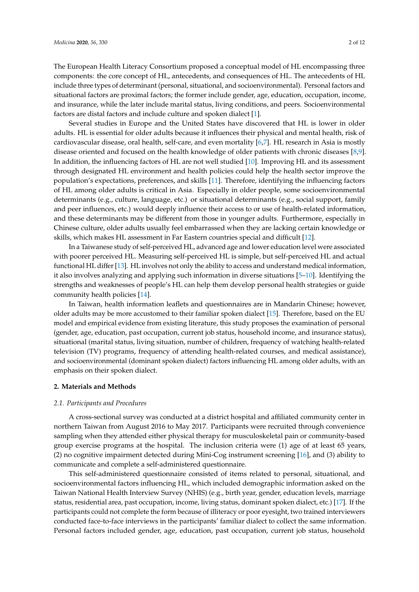The European Health Literacy Consortium proposed a conceptual model of HL encompassing three components: the core concept of HL, antecedents, and consequences of HL. The antecedents of HL include three types of determinant (personal, situational, and socioenvironmental). Personal factors and situational factors are proximal factors; the former include gender, age, education, occupation, income, and insurance, while the later include marital status, living conditions, and peers. Socioenvironmental factors are distal factors and include culture and spoken dialect [\[1\]](#page-9-0).

Several studies in Europe and the United States have discovered that HL is lower in older adults. HL is essential for older adults because it influences their physical and mental health, risk of cardiovascular disease, oral health, self-care, and even mortality [\[6](#page-9-5)[,7\]](#page-9-6). HL research in Asia is mostly disease oriented and focused on the health knowledge of older patients with chronic diseases [\[8,](#page-9-7)[9\]](#page-9-8). In addition, the influencing factors of HL are not well studied [\[10\]](#page-9-9). Improving HL and its assessment through designated HL environment and health policies could help the health sector improve the population's expectations, preferences, and skills [\[11\]](#page-9-10). Therefore, identifying the influencing factors of HL among older adults is critical in Asia. Especially in older people, some socioenvironmental determinants (e.g., culture, language, etc.) or situational determinants (e.g., social support, family and peer influences, etc.) would deeply influence their access to or use of health-related information, and these determinants may be different from those in younger adults. Furthermore, especially in Chinese culture, older adults usually feel embarrassed when they are lacking certain knowledge or skills, which makes HL assessment in Far Eastern countries special and difficult [\[12\]](#page-9-11).

In a Taiwanese study of self-perceived HL, advanced age and lower education level were associated with poorer perceived HL. Measuring self-perceived HL is simple, but self-perceived HL and actual functional HL differ [\[13\]](#page-9-12). HL involves not only the ability to access and understand medical information, it also involves analyzing and applying such information in diverse situations [\[5](#page-9-4)[–10\]](#page-9-9). Identifying the strengths and weaknesses of people's HL can help them develop personal health strategies or guide community health policies [\[14\]](#page-9-13).

In Taiwan, health information leaflets and questionnaires are in Mandarin Chinese; however, older adults may be more accustomed to their familiar spoken dialect [\[15\]](#page-9-14). Therefore, based on the EU model and empirical evidence from existing literature, this study proposes the examination of personal (gender, age, education, past occupation, current job status, household income, and insurance status), situational (marital status, living situation, number of children, frequency of watching health-related television (TV) programs, frequency of attending health-related courses, and medical assistance), and socioenvironmental (dominant spoken dialect) factors influencing HL among older adults, with an emphasis on their spoken dialect.

#### **2. Materials and Methods**

### *2.1. Participants and Procedures*

A cross-sectional survey was conducted at a district hospital and affiliated community center in northern Taiwan from August 2016 to May 2017. Participants were recruited through convenience sampling when they attended either physical therapy for musculoskeletal pain or community-based group exercise programs at the hospital. The inclusion criteria were (1) age of at least 65 years, (2) no cognitive impairment detected during Mini-Cog instrument screening [\[16\]](#page-9-15), and (3) ability to communicate and complete a self-administered questionnaire.

This self-administered questionnaire consisted of items related to personal, situational, and socioenvironmental factors influencing HL, which included demographic information asked on the Taiwan National Health Interview Survey (NHIS) (e.g., birth year, gender, education levels, marriage status, residential area, past occupation, income, living status, dominant spoken dialect, etc.) [\[17\]](#page-9-16). If the participants could not complete the form because of illiteracy or poor eyesight, two trained interviewers conducted face-to-face interviews in the participants' familiar dialect to collect the same information. Personal factors included gender, age, education, past occupation, current job status, household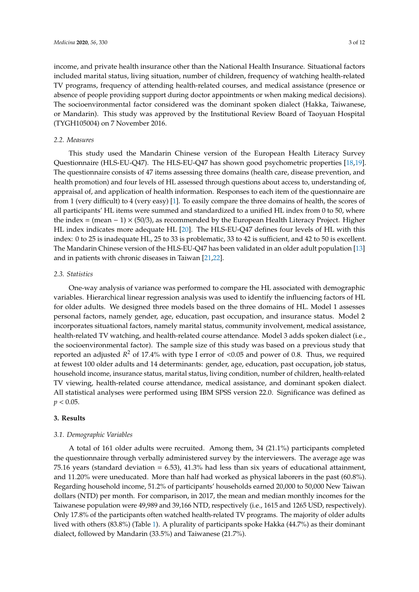income, and private health insurance other than the National Health Insurance. Situational factors included marital status, living situation, number of children, frequency of watching health-related TV programs, frequency of attending health-related courses, and medical assistance (presence or absence of people providing support during doctor appointments or when making medical decisions). The socioenvironmental factor considered was the dominant spoken dialect (Hakka, Taiwanese, or Mandarin). This study was approved by the Institutional Review Board of Taoyuan Hospital (TYGH105004) on 7 November 2016.

#### *2.2. Measures*

This study used the Mandarin Chinese version of the European Health Literacy Survey Questionnaire (HLS-EU-Q47). The HLS-EU-Q47 has shown good psychometric properties [\[18,](#page-9-17)[19\]](#page-10-0). The questionnaire consists of 47 items assessing three domains (health care, disease prevention, and health promotion) and four levels of HL assessed through questions about access to, understanding of, appraisal of, and application of health information. Responses to each item of the questionnaire are from 1 (very difficult) to 4 (very easy) [\[1\]](#page-9-0). To easily compare the three domains of health, the scores of all participants' HL items were summed and standardized to a unified HL index from 0 to 50, where the index = (mean  $-1$ )  $\times$  (50/3), as recommended by the European Health Literacy Project. Higher HL index indicates more adequate HL [\[20\]](#page-10-1). The HLS-EU-Q47 defines four levels of HL with this index: 0 to 25 is inadequate HL, 25 to 33 is problematic, 33 to 42 is sufficient, and 42 to 50 is excellent. The Mandarin Chinese version of the HLS-EU-Q47 has been validated in an older adult population [\[13\]](#page-9-12) and in patients with chronic diseases in Taiwan [\[21](#page-10-2)[,22\]](#page-10-3).

## *2.3. Statistics*

One-way analysis of variance was performed to compare the HL associated with demographic variables. Hierarchical linear regression analysis was used to identify the influencing factors of HL for older adults. We designed three models based on the three domains of HL. Model 1 assesses personal factors, namely gender, age, education, past occupation, and insurance status. Model 2 incorporates situational factors, namely marital status, community involvement, medical assistance, health-related TV watching, and health-related course attendance. Model 3 adds spoken dialect (i.e., the socioenvironmental factor). The sample size of this study was based on a previous study that reported an adjusted *R* <sup>2</sup> of 17.4% with type I error of <0.05 and power of 0.8. Thus, we required at fewest 100 older adults and 14 determinants: gender, age, education, past occupation, job status, household income, insurance status, marital status, living condition, number of children, health-related TV viewing, health-related course attendance, medical assistance, and dominant spoken dialect. All statistical analyses were performed using IBM SPSS version 22.0. Significance was defined as  $p < 0.05$ .

## **3. Results**

## *3.1. Demographic Variables*

A total of 161 older adults were recruited. Among them, 34 (21.1%) participants completed the questionnaire through verbally administered survey by the interviewers. The average age was 75.16 years (standard deviation = 6.53), 41.3% had less than six years of educational attainment, and 11.20% were uneducated. More than half had worked as physical laborers in the past (60.8%). Regarding household income, 51.2% of participants' households earned 20,000 to 50,000 New Taiwan dollars (NTD) per month. For comparison, in 2017, the mean and median monthly incomes for the Taiwanese population were 49,989 and 39,166 NTD, respectively (i.e., 1615 and 1265 USD, respectively). Only 17.8% of the participants often watched health-related TV programs. The majority of older adults lived with others (83.8%) (Table [1\)](#page-3-0). A plurality of participants spoke Hakka (44.7%) as their dominant dialect, followed by Mandarin (33.5%) and Taiwanese (21.7%).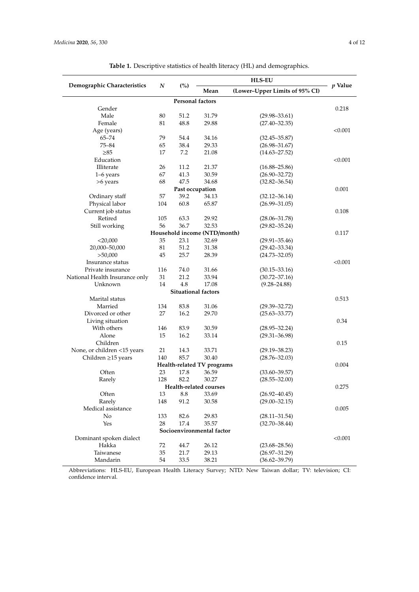<span id="page-3-0"></span>

| Demographic Characteristics  | $\boldsymbol{N}$ |                         |       | <i>p</i> Value                 |         |  |  |
|------------------------------|------------------|-------------------------|-------|--------------------------------|---------|--|--|
|                              |                  | (%)                     | Mean  | (Lower-Upper Limits of 95% CI) |         |  |  |
|                              |                  | <b>Personal factors</b> |       |                                |         |  |  |
| Gender                       |                  |                         |       |                                | 0.218   |  |  |
| Male                         | 80               | 51.2                    | 31.79 | $(29.98 - 33.61)$              |         |  |  |
| Female                       | 81               | 48.8                    | 29.88 | $(27.40 - 32.35)$              |         |  |  |
| Age (years)                  |                  |                         |       |                                | < 0.001 |  |  |
| $65 - 74$                    | 79               | 54.4                    | 34.16 | $(32.45 - 35.87)$              |         |  |  |
| $75 - 84$                    | 65               | 38.4                    | 29.33 | $(26.98 - 31.67)$              |         |  |  |
| $\geq 85$                    | 17               | 7.2                     | 21.08 | $(14.63 - 27.52)$              |         |  |  |
| Education                    |                  |                         |       |                                | < 0.001 |  |  |
| Illiterate                   | 26               | 11.2                    | 21.37 | $(16.88 - 25.86)$              |         |  |  |
| $1-6$ years                  | 67               | 41.3                    | 30.59 | $(26.90 - 32.72)$              |         |  |  |
| >6 years                     | 68               | 47.5                    | 34.68 | $(32.82 - 36.54)$              |         |  |  |
|                              |                  | Past occupation         |       |                                | 0.001   |  |  |
| Ordinary staff               | 57               | 39.2                    | 34.13 | $(32.12 - 36.14)$              |         |  |  |
| Physical labor               | 104              | 60.8                    | 65.87 | $(26.99 - 31.05)$              |         |  |  |
| Current job status           |                  |                         |       |                                | 0.108   |  |  |
| Retired                      | 105              | 63.3                    | 29.92 | $(28.06 - 31.78)$              |         |  |  |
| Still working                | 56               | 36.7                    | 32.53 | $(29.82 - 35.24)$              |         |  |  |
| Household income (NTD/month) |                  |                         |       |                                |         |  |  |
| $<$ 20,000                   | 35               | 23.1                    | 32.69 | $(29.91 - 35.46)$              |         |  |  |
|                              |                  |                         |       |                                |         |  |  |

Table 1. Descriptive statistic

| Gender<br>0.218<br>Male<br>80<br>51.2<br>31.79<br>$(29.98 - 33.61)$<br>81<br>48.8<br>$(27.40 - 32.35)$<br>Female<br>29.88<br>< 0.001<br>Age (years)<br>79<br>$65 - 74$<br>54.4<br>34.16<br>$(32.45 - 35.87)$<br>$75 - 84$<br>38.4<br>29.33<br>65<br>$(26.98 - 31.67)$<br>17<br>7.2<br>$\geq 85$<br>21.08<br>$(14.63 - 27.52)$<br>Education<br>< 0.001<br>Illiterate<br>26<br>11.2<br>21.37<br>$(16.88 - 25.86)$<br>67<br>41.3<br>30.59<br>$(26.90 - 32.72)$<br>$1-6$ years<br>47.5<br>$(32.82 - 36.54)$<br>68<br>34.68<br>>6 years<br>0.001<br>Past occupation<br>Ordinary staff<br>57<br>39.2<br>34.13<br>$(32.12 - 36.14)$<br>Physical labor<br>104<br>60.8<br>65.87<br>$(26.99 - 31.05)$<br>Current job status<br>0.108<br>Retired<br>105<br>29.92<br>63.3<br>$(28.06 - 31.78)$<br>56<br>36.7<br>32.53<br>Still working<br>$(29.82 - 35.24)$<br>Household income (NTD/month)<br>0.117<br>23.1<br>32.69<br>$<$ 20,000<br>35<br>$(29.91 - 35.46)$<br>20,000-50,000<br>81<br>51.2<br>31.38<br>$(29.42 - 33.34)$<br>>50,000<br>45<br>25.7<br>28.39<br>$(24.73 - 32.05)$<br>< 0.001<br>Insurance status<br>116<br>74.0<br>31.66<br>$(30.15 - 33.16)$<br>Private insurance<br>National Health Insurance only<br>31<br>21.2<br>33.94<br>$(30.72 - 37.16)$<br>4.8<br>Unknown<br>14<br>17.08<br>$(9.28 - 24.88)$<br><b>Situational factors</b><br>Marital status<br>0.513<br>Married<br>134<br>83.8<br>31.06<br>$(29.39 - 32.72)$<br>Divorced or other<br>27<br>16.2<br>29.70<br>$(25.63 - 33.77)$<br>Living situation<br>0.34<br>With others<br>146<br>83.9<br>30.59<br>$(28.95 - 32.24)$<br>Alone<br>15<br>16.2<br>33.14<br>$(29.31 - 36.98)$<br>Children<br>0.15<br>None, or children <15 years<br>21<br>14.3<br>33.71<br>$(29.19 - 38.23)$<br>Children ≥15 years<br>140<br>85.7<br>30.40<br>$(28.76 - 32.03)$ |
|-------------------------------------------------------------------------------------------------------------------------------------------------------------------------------------------------------------------------------------------------------------------------------------------------------------------------------------------------------------------------------------------------------------------------------------------------------------------------------------------------------------------------------------------------------------------------------------------------------------------------------------------------------------------------------------------------------------------------------------------------------------------------------------------------------------------------------------------------------------------------------------------------------------------------------------------------------------------------------------------------------------------------------------------------------------------------------------------------------------------------------------------------------------------------------------------------------------------------------------------------------------------------------------------------------------------------------------------------------------------------------------------------------------------------------------------------------------------------------------------------------------------------------------------------------------------------------------------------------------------------------------------------------------------------------------------------------------------------------------------------------------------------------------------------------------|
|                                                                                                                                                                                                                                                                                                                                                                                                                                                                                                                                                                                                                                                                                                                                                                                                                                                                                                                                                                                                                                                                                                                                                                                                                                                                                                                                                                                                                                                                                                                                                                                                                                                                                                                                                                                                             |
|                                                                                                                                                                                                                                                                                                                                                                                                                                                                                                                                                                                                                                                                                                                                                                                                                                                                                                                                                                                                                                                                                                                                                                                                                                                                                                                                                                                                                                                                                                                                                                                                                                                                                                                                                                                                             |
|                                                                                                                                                                                                                                                                                                                                                                                                                                                                                                                                                                                                                                                                                                                                                                                                                                                                                                                                                                                                                                                                                                                                                                                                                                                                                                                                                                                                                                                                                                                                                                                                                                                                                                                                                                                                             |
|                                                                                                                                                                                                                                                                                                                                                                                                                                                                                                                                                                                                                                                                                                                                                                                                                                                                                                                                                                                                                                                                                                                                                                                                                                                                                                                                                                                                                                                                                                                                                                                                                                                                                                                                                                                                             |
|                                                                                                                                                                                                                                                                                                                                                                                                                                                                                                                                                                                                                                                                                                                                                                                                                                                                                                                                                                                                                                                                                                                                                                                                                                                                                                                                                                                                                                                                                                                                                                                                                                                                                                                                                                                                             |
|                                                                                                                                                                                                                                                                                                                                                                                                                                                                                                                                                                                                                                                                                                                                                                                                                                                                                                                                                                                                                                                                                                                                                                                                                                                                                                                                                                                                                                                                                                                                                                                                                                                                                                                                                                                                             |
|                                                                                                                                                                                                                                                                                                                                                                                                                                                                                                                                                                                                                                                                                                                                                                                                                                                                                                                                                                                                                                                                                                                                                                                                                                                                                                                                                                                                                                                                                                                                                                                                                                                                                                                                                                                                             |
|                                                                                                                                                                                                                                                                                                                                                                                                                                                                                                                                                                                                                                                                                                                                                                                                                                                                                                                                                                                                                                                                                                                                                                                                                                                                                                                                                                                                                                                                                                                                                                                                                                                                                                                                                                                                             |
|                                                                                                                                                                                                                                                                                                                                                                                                                                                                                                                                                                                                                                                                                                                                                                                                                                                                                                                                                                                                                                                                                                                                                                                                                                                                                                                                                                                                                                                                                                                                                                                                                                                                                                                                                                                                             |
|                                                                                                                                                                                                                                                                                                                                                                                                                                                                                                                                                                                                                                                                                                                                                                                                                                                                                                                                                                                                                                                                                                                                                                                                                                                                                                                                                                                                                                                                                                                                                                                                                                                                                                                                                                                                             |
|                                                                                                                                                                                                                                                                                                                                                                                                                                                                                                                                                                                                                                                                                                                                                                                                                                                                                                                                                                                                                                                                                                                                                                                                                                                                                                                                                                                                                                                                                                                                                                                                                                                                                                                                                                                                             |
|                                                                                                                                                                                                                                                                                                                                                                                                                                                                                                                                                                                                                                                                                                                                                                                                                                                                                                                                                                                                                                                                                                                                                                                                                                                                                                                                                                                                                                                                                                                                                                                                                                                                                                                                                                                                             |
|                                                                                                                                                                                                                                                                                                                                                                                                                                                                                                                                                                                                                                                                                                                                                                                                                                                                                                                                                                                                                                                                                                                                                                                                                                                                                                                                                                                                                                                                                                                                                                                                                                                                                                                                                                                                             |
|                                                                                                                                                                                                                                                                                                                                                                                                                                                                                                                                                                                                                                                                                                                                                                                                                                                                                                                                                                                                                                                                                                                                                                                                                                                                                                                                                                                                                                                                                                                                                                                                                                                                                                                                                                                                             |
|                                                                                                                                                                                                                                                                                                                                                                                                                                                                                                                                                                                                                                                                                                                                                                                                                                                                                                                                                                                                                                                                                                                                                                                                                                                                                                                                                                                                                                                                                                                                                                                                                                                                                                                                                                                                             |
|                                                                                                                                                                                                                                                                                                                                                                                                                                                                                                                                                                                                                                                                                                                                                                                                                                                                                                                                                                                                                                                                                                                                                                                                                                                                                                                                                                                                                                                                                                                                                                                                                                                                                                                                                                                                             |
|                                                                                                                                                                                                                                                                                                                                                                                                                                                                                                                                                                                                                                                                                                                                                                                                                                                                                                                                                                                                                                                                                                                                                                                                                                                                                                                                                                                                                                                                                                                                                                                                                                                                                                                                                                                                             |
|                                                                                                                                                                                                                                                                                                                                                                                                                                                                                                                                                                                                                                                                                                                                                                                                                                                                                                                                                                                                                                                                                                                                                                                                                                                                                                                                                                                                                                                                                                                                                                                                                                                                                                                                                                                                             |
|                                                                                                                                                                                                                                                                                                                                                                                                                                                                                                                                                                                                                                                                                                                                                                                                                                                                                                                                                                                                                                                                                                                                                                                                                                                                                                                                                                                                                                                                                                                                                                                                                                                                                                                                                                                                             |
|                                                                                                                                                                                                                                                                                                                                                                                                                                                                                                                                                                                                                                                                                                                                                                                                                                                                                                                                                                                                                                                                                                                                                                                                                                                                                                                                                                                                                                                                                                                                                                                                                                                                                                                                                                                                             |
|                                                                                                                                                                                                                                                                                                                                                                                                                                                                                                                                                                                                                                                                                                                                                                                                                                                                                                                                                                                                                                                                                                                                                                                                                                                                                                                                                                                                                                                                                                                                                                                                                                                                                                                                                                                                             |
|                                                                                                                                                                                                                                                                                                                                                                                                                                                                                                                                                                                                                                                                                                                                                                                                                                                                                                                                                                                                                                                                                                                                                                                                                                                                                                                                                                                                                                                                                                                                                                                                                                                                                                                                                                                                             |
|                                                                                                                                                                                                                                                                                                                                                                                                                                                                                                                                                                                                                                                                                                                                                                                                                                                                                                                                                                                                                                                                                                                                                                                                                                                                                                                                                                                                                                                                                                                                                                                                                                                                                                                                                                                                             |
|                                                                                                                                                                                                                                                                                                                                                                                                                                                                                                                                                                                                                                                                                                                                                                                                                                                                                                                                                                                                                                                                                                                                                                                                                                                                                                                                                                                                                                                                                                                                                                                                                                                                                                                                                                                                             |
|                                                                                                                                                                                                                                                                                                                                                                                                                                                                                                                                                                                                                                                                                                                                                                                                                                                                                                                                                                                                                                                                                                                                                                                                                                                                                                                                                                                                                                                                                                                                                                                                                                                                                                                                                                                                             |
|                                                                                                                                                                                                                                                                                                                                                                                                                                                                                                                                                                                                                                                                                                                                                                                                                                                                                                                                                                                                                                                                                                                                                                                                                                                                                                                                                                                                                                                                                                                                                                                                                                                                                                                                                                                                             |
|                                                                                                                                                                                                                                                                                                                                                                                                                                                                                                                                                                                                                                                                                                                                                                                                                                                                                                                                                                                                                                                                                                                                                                                                                                                                                                                                                                                                                                                                                                                                                                                                                                                                                                                                                                                                             |
|                                                                                                                                                                                                                                                                                                                                                                                                                                                                                                                                                                                                                                                                                                                                                                                                                                                                                                                                                                                                                                                                                                                                                                                                                                                                                                                                                                                                                                                                                                                                                                                                                                                                                                                                                                                                             |
|                                                                                                                                                                                                                                                                                                                                                                                                                                                                                                                                                                                                                                                                                                                                                                                                                                                                                                                                                                                                                                                                                                                                                                                                                                                                                                                                                                                                                                                                                                                                                                                                                                                                                                                                                                                                             |
|                                                                                                                                                                                                                                                                                                                                                                                                                                                                                                                                                                                                                                                                                                                                                                                                                                                                                                                                                                                                                                                                                                                                                                                                                                                                                                                                                                                                                                                                                                                                                                                                                                                                                                                                                                                                             |
|                                                                                                                                                                                                                                                                                                                                                                                                                                                                                                                                                                                                                                                                                                                                                                                                                                                                                                                                                                                                                                                                                                                                                                                                                                                                                                                                                                                                                                                                                                                                                                                                                                                                                                                                                                                                             |
|                                                                                                                                                                                                                                                                                                                                                                                                                                                                                                                                                                                                                                                                                                                                                                                                                                                                                                                                                                                                                                                                                                                                                                                                                                                                                                                                                                                                                                                                                                                                                                                                                                                                                                                                                                                                             |
|                                                                                                                                                                                                                                                                                                                                                                                                                                                                                                                                                                                                                                                                                                                                                                                                                                                                                                                                                                                                                                                                                                                                                                                                                                                                                                                                                                                                                                                                                                                                                                                                                                                                                                                                                                                                             |
|                                                                                                                                                                                                                                                                                                                                                                                                                                                                                                                                                                                                                                                                                                                                                                                                                                                                                                                                                                                                                                                                                                                                                                                                                                                                                                                                                                                                                                                                                                                                                                                                                                                                                                                                                                                                             |
|                                                                                                                                                                                                                                                                                                                                                                                                                                                                                                                                                                                                                                                                                                                                                                                                                                                                                                                                                                                                                                                                                                                                                                                                                                                                                                                                                                                                                                                                                                                                                                                                                                                                                                                                                                                                             |
|                                                                                                                                                                                                                                                                                                                                                                                                                                                                                                                                                                                                                                                                                                                                                                                                                                                                                                                                                                                                                                                                                                                                                                                                                                                                                                                                                                                                                                                                                                                                                                                                                                                                                                                                                                                                             |
| Health-related TV programs<br>0.004                                                                                                                                                                                                                                                                                                                                                                                                                                                                                                                                                                                                                                                                                                                                                                                                                                                                                                                                                                                                                                                                                                                                                                                                                                                                                                                                                                                                                                                                                                                                                                                                                                                                                                                                                                         |
| Often<br>23<br>17.8<br>36.59<br>$(33.60 - 39.57)$                                                                                                                                                                                                                                                                                                                                                                                                                                                                                                                                                                                                                                                                                                                                                                                                                                                                                                                                                                                                                                                                                                                                                                                                                                                                                                                                                                                                                                                                                                                                                                                                                                                                                                                                                           |
| 128<br>82.2<br>30.27<br>$(28.55 - 32.00)$<br>Rarely                                                                                                                                                                                                                                                                                                                                                                                                                                                                                                                                                                                                                                                                                                                                                                                                                                                                                                                                                                                                                                                                                                                                                                                                                                                                                                                                                                                                                                                                                                                                                                                                                                                                                                                                                         |
| Health-related courses<br>0.275                                                                                                                                                                                                                                                                                                                                                                                                                                                                                                                                                                                                                                                                                                                                                                                                                                                                                                                                                                                                                                                                                                                                                                                                                                                                                                                                                                                                                                                                                                                                                                                                                                                                                                                                                                             |
| Often<br>13<br>8.8<br>33.69<br>$(26.92 - 40.45)$                                                                                                                                                                                                                                                                                                                                                                                                                                                                                                                                                                                                                                                                                                                                                                                                                                                                                                                                                                                                                                                                                                                                                                                                                                                                                                                                                                                                                                                                                                                                                                                                                                                                                                                                                            |
| Rarely<br>91.2<br>148<br>30.58<br>$(29.00 - 32.15)$                                                                                                                                                                                                                                                                                                                                                                                                                                                                                                                                                                                                                                                                                                                                                                                                                                                                                                                                                                                                                                                                                                                                                                                                                                                                                                                                                                                                                                                                                                                                                                                                                                                                                                                                                         |
| Medical assistance<br>0.005                                                                                                                                                                                                                                                                                                                                                                                                                                                                                                                                                                                                                                                                                                                                                                                                                                                                                                                                                                                                                                                                                                                                                                                                                                                                                                                                                                                                                                                                                                                                                                                                                                                                                                                                                                                 |
| No<br>133<br>82.6<br>29.83<br>$(28.11 - 31.54)$                                                                                                                                                                                                                                                                                                                                                                                                                                                                                                                                                                                                                                                                                                                                                                                                                                                                                                                                                                                                                                                                                                                                                                                                                                                                                                                                                                                                                                                                                                                                                                                                                                                                                                                                                             |
| 28<br>17.4<br>35.57<br>Yes<br>$(32.70 - 38.44)$                                                                                                                                                                                                                                                                                                                                                                                                                                                                                                                                                                                                                                                                                                                                                                                                                                                                                                                                                                                                                                                                                                                                                                                                                                                                                                                                                                                                                                                                                                                                                                                                                                                                                                                                                             |
| Socioenvironmental factor                                                                                                                                                                                                                                                                                                                                                                                                                                                                                                                                                                                                                                                                                                                                                                                                                                                                                                                                                                                                                                                                                                                                                                                                                                                                                                                                                                                                                                                                                                                                                                                                                                                                                                                                                                                   |
| Dominant spoken dialect<br>< 0.001                                                                                                                                                                                                                                                                                                                                                                                                                                                                                                                                                                                                                                                                                                                                                                                                                                                                                                                                                                                                                                                                                                                                                                                                                                                                                                                                                                                                                                                                                                                                                                                                                                                                                                                                                                          |
| Hakka<br>72<br>44.7<br>26.12<br>$(23.68 - 28.56)$                                                                                                                                                                                                                                                                                                                                                                                                                                                                                                                                                                                                                                                                                                                                                                                                                                                                                                                                                                                                                                                                                                                                                                                                                                                                                                                                                                                                                                                                                                                                                                                                                                                                                                                                                           |
| 35<br>21.7<br>29.13<br>$(26.97 - 31.29)$<br>Taiwanese                                                                                                                                                                                                                                                                                                                                                                                                                                                                                                                                                                                                                                                                                                                                                                                                                                                                                                                                                                                                                                                                                                                                                                                                                                                                                                                                                                                                                                                                                                                                                                                                                                                                                                                                                       |
| Mandarin<br>54<br>33.5<br>38.21<br>$(36.62 - 39.79)$                                                                                                                                                                                                                                                                                                                                                                                                                                                                                                                                                                                                                                                                                                                                                                                                                                                                                                                                                                                                                                                                                                                                                                                                                                                                                                                                                                                                                                                                                                                                                                                                                                                                                                                                                        |

Abbreviations: HLS-EU, European Health Literacy Survey; NTD: New Taiwan dollar; TV: television; CI: confidence interval.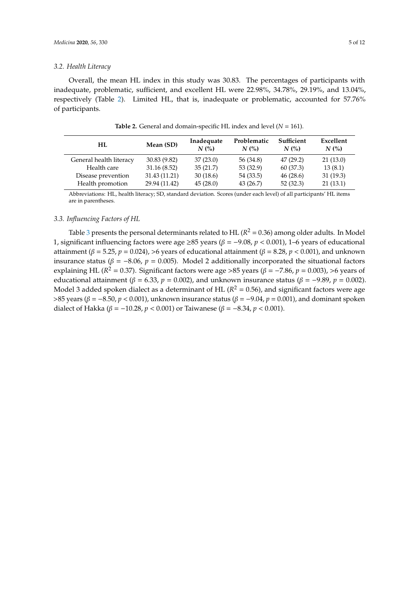#### *3.2. Health Literacy*

Overall, the mean HL index in this study was 30.83. The percentages of participants with inadequate, problematic, sufficient, and excellent HL were 22.98%, 34.78%, 29.19%, and 13.04%, respectively (Table [2\)](#page-4-0). Limited HL, that is, inadequate or problematic, accounted for 57.76% of participants.

<span id="page-4-0"></span>

| HL.                     | Mean (SD)     | Inadequate<br>N(% | Problematic<br>N(% | Sufficient<br>N(% | Excellent<br>N(%) |
|-------------------------|---------------|-------------------|--------------------|-------------------|-------------------|
| General health literacy | 30.83(9.82)   | 37(23.0)          | 56 (34.8)          | 47(29.2)          | 21(13.0)          |
| Health care             | 31.16(8.52)   | 35(21.7)          | 53(32.9)           | 60 (37.3)         | 13(8.1)           |
| Disease prevention      | 31.43 (11.21) | 30(18.6)          | 54 (33.5)          | 46(28.6)          | 31(19.3)          |
| Health promotion        | 29.94 (11.42) | 45(28.0)          | 43(26.7)           | 52(32.3)          | 21(13.1)          |

**Table 2.** General and domain-specific HL index and level (*N* = 161).

Abbreviations: HL, health literacy; SD, standard deviation. Scores (under each level) of all participants' HL items are in parentheses.

# *3.3. Influencing Factors of HL*

Table [3](#page-5-0) presents the personal determinants related to  $HL$  ( $R^2$  = 0.36) among older adults. In Model 1, significant influencing factors were age ≥85 years (β = −9.08, *p* < 0.001), 1–6 years of educational attainment (β = 5.25, *p* = 0.024), >6 years of educational attainment (β = 8.28, *p* < 0.001), and unknown insurance status ( $\beta$  = -8.06,  $p$  = 0.005). Model 2 additionally incorporated the situational factors explaining HL ( $R^2 = 0.37$ ). Significant factors were age >85 years ( $\beta = -7.86$ ,  $p = 0.003$ ), >6 years of educational attainment ( $\beta = 6.33$ ,  $p = 0.002$ ), and unknown insurance status ( $\beta = -9.89$ ,  $p = 0.002$ ). Model 3 added spoken dialect as a determinant of  $HL$  ( $R^2 = 0.56$ ), and significant factors were age >85 years (β = −8.50, *p* < 0.001), unknown insurance status (β = −9.04, *p* = 0.001), and dominant spoken dialect of Hakka (*β* = −10.28, *p* < 0.001) or Taiwanese (*β* = −8.34, *p* < 0.001).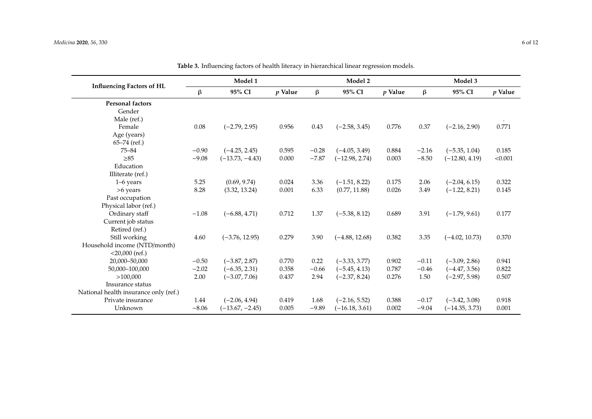<span id="page-5-0"></span>

|                                       | Model 1 |                   |           | Model 2 |                  |           | Model 3 |                  |           |
|---------------------------------------|---------|-------------------|-----------|---------|------------------|-----------|---------|------------------|-----------|
| <b>Influencing Factors of HL</b>      | β       | 95% CI            | $p$ Value | $\beta$ | 95% CI           | $p$ Value | $\beta$ | 95% CI           | $p$ Value |
| <b>Personal factors</b>               |         |                   |           |         |                  |           |         |                  |           |
| Gender                                |         |                   |           |         |                  |           |         |                  |           |
| Male (ref.)                           |         |                   |           |         |                  |           |         |                  |           |
| Female                                | 0.08    | $(-2.79, 2.95)$   | 0.956     | 0.43    | $(-2.58, 3.45)$  | 0.776     | 0.37    | $(-2.16, 2.90)$  | 0.771     |
| Age (years)                           |         |                   |           |         |                  |           |         |                  |           |
| $65-74$ (ref.)                        |         |                   |           |         |                  |           |         |                  |           |
| $75 - 84$                             | $-0.90$ | $(-4.25, 2.45)$   | 0.595     | $-0.28$ | $(-4.05, 3.49)$  | 0.884     | $-2.16$ | $(-5.35, 1.04)$  | 0.185     |
| $\geq 85$                             | $-9.08$ | $(-13.73, -4.43)$ | 0.000     | $-7.87$ | $(-12.98, 2.74)$ | 0.003     | $-8.50$ | $(-12.80, 4.19)$ | < 0.001   |
| Education                             |         |                   |           |         |                  |           |         |                  |           |
| Illiterate (ref.)                     |         |                   |           |         |                  |           |         |                  |           |
| $1-6$ years                           | 5.25    | (0.69, 9.74)      | 0.024     | 3.36    | $(-1.51, 8.22)$  | 0.175     | 2.06    | $(-2.04, 6.15)$  | 0.322     |
| >6 years                              | 8.28    | (3.32, 13.24)     | 0.001     | 6.33    | (0.77, 11.88)    | 0.026     | 3.49    | $(-1.22, 8.21)$  | 0.145     |
| Past occupation                       |         |                   |           |         |                  |           |         |                  |           |
| Physical labor (ref.)                 |         |                   |           |         |                  |           |         |                  |           |
| Ordinary staff                        | $-1.08$ | $(-6.88, 4.71)$   | 0.712     | 1.37    | $(-5.38, 8.12)$  | 0.689     | 3.91    | $(-1.79, 9.61)$  | 0.177     |
| Current job status                    |         |                   |           |         |                  |           |         |                  |           |
| Retired (ref.)                        |         |                   |           |         |                  |           |         |                  |           |
| Still working                         | 4.60    | $(-3.76, 12.95)$  | 0.279     | 3.90    | $(-4.88, 12.68)$ | 0.382     | 3.35    | $(-4.02, 10.73)$ | 0.370     |
| Household income (NTD/month)          |         |                   |           |         |                  |           |         |                  |           |
| $<$ 20,000 (ref.)                     |         |                   |           |         |                  |           |         |                  |           |
| 20,000-50,000                         | $-0.50$ | $(-3.87, 2.87)$   | 0.770     | 0.22    | $(-3.33, 3.77)$  | 0.902     | $-0.11$ | $(-3.09, 2.86)$  | 0.941     |
| 50,000-100,000                        | $-2.02$ | $(-6.35, 2.31)$   | 0.358     | $-0.66$ | $(-5.45, 4.13)$  | 0.787     | $-0.46$ | $(-4.47, 3.56)$  | 0.822     |
| >100,000                              | 2.00    | $(-3.07, 7.06)$   | 0.437     | 2.94    | $(-2.37, 8.24)$  | 0.276     | 1.50    | $(-2.97, 5.98)$  | 0.507     |
| Insurance status                      |         |                   |           |         |                  |           |         |                  |           |
| National health insurance only (ref.) |         |                   |           |         |                  |           |         |                  |           |
| Private insurance                     | 1.44    | $(-2.06, 4.94)$   | 0.419     | 1.68    | $(-2.16, 5.52)$  | 0.388     | $-0.17$ | $(-3.42, 3.08)$  | 0.918     |
| Unknown                               | $-8.06$ | $(-13.67, -2.45)$ | 0.005     | $-9.89$ | $(-16.18, 3.61)$ | 0.002     | $-9.04$ | $(-14.35, 3.73)$ | 0.001     |

**Table 3.** Influencing factors of health literacy in hierarchical linear regression models.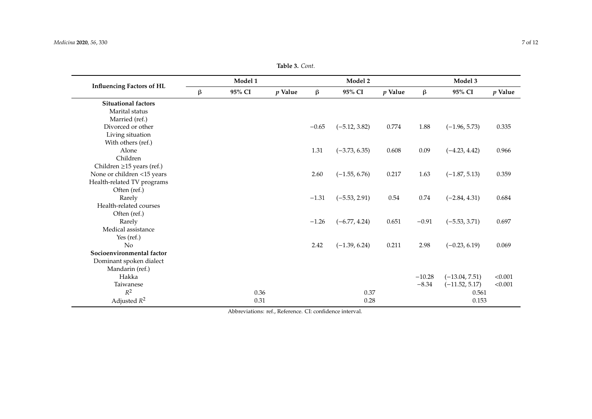| Table 3. Cont. |  |
|----------------|--|
|----------------|--|

|                                  | Model 1 |        |           |         | Model 2         |           |          | Model 3          |           |  |
|----------------------------------|---------|--------|-----------|---------|-----------------|-----------|----------|------------------|-----------|--|
| <b>Influencing Factors of HL</b> | $\beta$ | 95% CI | $p$ Value | $\beta$ | 95% CI          | $p$ Value | $\beta$  | 95% CI           | $p$ Value |  |
| <b>Situational factors</b>       |         |        |           |         |                 |           |          |                  |           |  |
| Marital status                   |         |        |           |         |                 |           |          |                  |           |  |
| Married (ref.)                   |         |        |           |         |                 |           |          |                  |           |  |
| Divorced or other                |         |        |           | $-0.65$ | $(-5.12, 3.82)$ | 0.774     | 1.88     | $(-1.96, 5.73)$  | 0.335     |  |
| Living situation                 |         |        |           |         |                 |           |          |                  |           |  |
| With others (ref.)               |         |        |           |         |                 |           |          |                  |           |  |
| Alone                            |         |        |           | 1.31    | $(-3.73, 6.35)$ | 0.608     | 0.09     | $(-4.23, 4.42)$  | 0.966     |  |
| Children                         |         |        |           |         |                 |           |          |                  |           |  |
| Children $\geq$ 15 years (ref.)  |         |        |           |         |                 |           |          |                  |           |  |
| None or children <15 years       |         |        |           | 2.60    | $(-1.55, 6.76)$ | 0.217     | 1.63     | $(-1.87, 5.13)$  | 0.359     |  |
| Health-related TV programs       |         |        |           |         |                 |           |          |                  |           |  |
| Often (ref.)                     |         |        |           |         |                 |           |          |                  |           |  |
| Rarely                           |         |        |           | $-1.31$ | $(-5.53, 2.91)$ | 0.54      | 0.74     | $(-2.84, 4.31)$  | 0.684     |  |
| Health-related courses           |         |        |           |         |                 |           |          |                  |           |  |
| Often (ref.)                     |         |        |           |         |                 |           |          |                  |           |  |
| Rarely                           |         |        |           | $-1.26$ | $(-6.77, 4.24)$ | 0.651     | $-0.91$  | $(-5.53, 3.71)$  | 0.697     |  |
| Medical assistance               |         |        |           |         |                 |           |          |                  |           |  |
| Yes $(ref.)$                     |         |        |           |         |                 |           |          |                  |           |  |
| N <sub>o</sub>                   |         |        |           | 2.42    | $(-1.39, 6.24)$ | 0.211     | 2.98     | $(-0.23, 6.19)$  | 0.069     |  |
| Socioenvironmental factor        |         |        |           |         |                 |           |          |                  |           |  |
| Dominant spoken dialect          |         |        |           |         |                 |           |          |                  |           |  |
| Mandarin (ref.)                  |         |        |           |         |                 |           |          |                  |           |  |
| Hakka                            |         |        |           |         |                 |           | $-10.28$ | $(-13.04, 7.51)$ | < 0.001   |  |
| Taiwanese                        |         |        |           |         |                 |           | $-8.34$  | $(-11.52, 5.17)$ | < 0.001   |  |
| $R^2$                            |         | 0.36   |           |         | 0.37            |           |          | 0.561            |           |  |
| Adjusted $R^2$                   |         | 0.31   |           |         | 0.28            |           |          | 0.153            |           |  |

Abbreviations: ref., Reference. CI: confidence interval.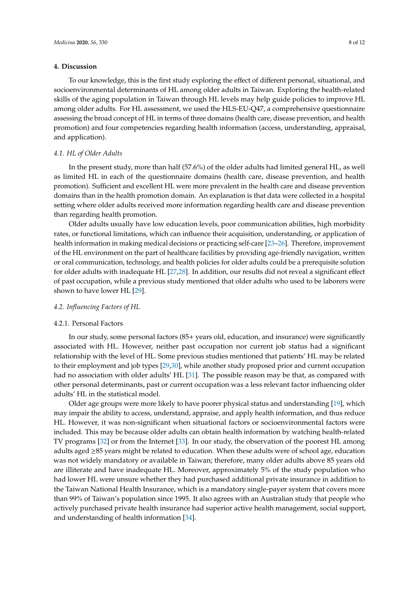## **4. Discussion**

To our knowledge, this is the first study exploring the effect of different personal, situational, and socioenvironmental determinants of HL among older adults in Taiwan. Exploring the health-related skills of the aging population in Taiwan through HL levels may help guide policies to improve HL among older adults. For HL assessment, we used the HLS-EU-Q47, a comprehensive questionnaire assessing the broad concept of HL in terms of three domains (health care, disease prevention, and health promotion) and four competencies regarding health information (access, understanding, appraisal, and application).

#### *4.1. HL of Older Adults*

In the present study, more than half (57.6%) of the older adults had limited general HL, as well as limited HL in each of the questionnaire domains (health care, disease prevention, and health promotion). Sufficient and excellent HL were more prevalent in the health care and disease prevention domains than in the health promotion domain. An explanation is that data were collected in a hospital setting where older adults received more information regarding health care and disease prevention than regarding health promotion.

Older adults usually have low education levels, poor communication abilities, high morbidity rates, or functional limitations, which can influence their acquisition, understanding, or application of health information in making medical decisions or practicing self-care [\[23–](#page-10-4)[26\]](#page-10-5). Therefore, improvement of the HL environment on the part of healthcare facilities by providing age-friendly navigation, written or oral communication, technology, and health policies for older adults could be a prerequisite solution for older adults with inadequate HL [\[27](#page-10-6)[,28\]](#page-10-7). In addition, our results did not reveal a significant effect of past occupation, while a previous study mentioned that older adults who used to be laborers were shown to have lower HL [\[29\]](#page-10-8).

#### *4.2. Influencing Factors of HL*

## 4.2.1. Personal Factors

In our study, some personal factors (85+ years old, education, and insurance) were significantly associated with HL. However, neither past occupation nor current job status had a significant relationship with the level of HL. Some previous studies mentioned that patients' HL may be related to their employment and job types [\[29](#page-10-8)[,30\]](#page-10-9), while another study proposed prior and current occupation had no association with older adults' HL [\[31\]](#page-10-10). The possible reason may be that, as compared with other personal determinants, past or current occupation was a less relevant factor influencing older adults' HL in the statistical model.

Older age groups were more likely to have poorer physical status and understanding [\[19\]](#page-10-0), which may impair the ability to access, understand, appraise, and apply health information, and thus reduce HL. However, it was non-significant when situational factors or socioenvironmental factors were included. This may be because older adults can obtain health information by watching health-related TV programs [\[32\]](#page-10-11) or from the Internet [\[33\]](#page-10-12). In our study, the observation of the poorest HL among adults aged ≥85 years might be related to education. When these adults were of school age, education was not widely mandatory or available in Taiwan; therefore, many older adults above 85 years old are illiterate and have inadequate HL. Moreover, approximately 5% of the study population who had lower HL were unsure whether they had purchased additional private insurance in addition to the Taiwan National Health Insurance, which is a mandatory single-payer system that covers more than 99% of Taiwan's population since 1995. It also agrees with an Australian study that people who actively purchased private health insurance had superior active health management, social support, and understanding of health information [\[34\]](#page-10-13).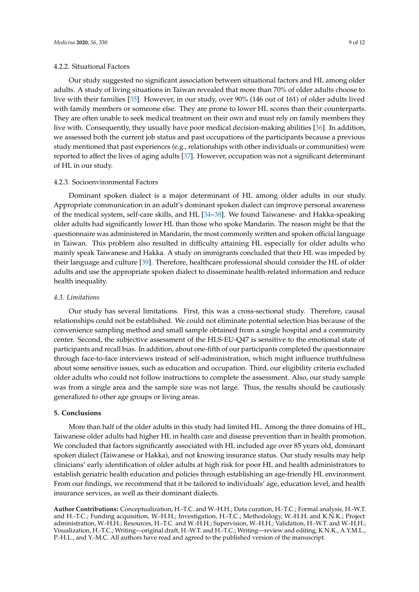### 4.2.2. Situational Factors

Our study suggested no significant association between situational factors and HL among older adults. A study of living situations in Taiwan revealed that more than 70% of older adults choose to live with their families [\[35\]](#page-10-14). However, in our study, over 90% (146 out of 161) of older adults lived with family members or someone else. They are prone to lower HL scores than their counterparts. They are often unable to seek medical treatment on their own and must rely on family members they live with. Consequently, they usually have poor medical decision-making abilities [\[36\]](#page-10-15). In addition, we assessed both the current job status and past occupations of the participants because a previous study mentioned that past experiences (e.g., relationships with other individuals or communities) were reported to affect the lives of aging adults [\[37\]](#page-10-16). However, occupation was not a significant determinant of HL in our study.

#### 4.2.3. Socioenvironmental Factors

Dominant spoken dialect is a major determinant of HL among older adults in our study. Appropriate communication in an adult's dominant spoken dialect can improve personal awareness of the medical system, self-care skills, and HL [\[34–](#page-10-13)[38\]](#page-11-0). We found Taiwanese- and Hakka-speaking older adults had significantly lower HL than those who spoke Mandarin. The reason might be that the questionnaire was administered in Mandarin, the most commonly written and spoken official language in Taiwan. This problem also resulted in difficulty attaining HL especially for older adults who mainly speak Taiwanese and Hakka. A study on immigrants concluded that their HL was impeded by their language and culture [\[39\]](#page-11-1). Therefore, healthcare professional should consider the HL of older adults and use the appropriate spoken dialect to disseminate health-related information and reduce health inequality.

#### *4.3. Limitations*

Our study has several limitations. First, this was a cross-sectional study. Therefore, causal relationships could not be established. We could not eliminate potential selection bias because of the convenience sampling method and small sample obtained from a single hospital and a community center. Second, the subjective assessment of the HLS-EU-Q47 is sensitive to the emotional state of participants and recall bias. In addition, about one-fifth of our participants completed the questionnaire through face-to-face interviews instead of self-administration, which might influence truthfulness about some sensitive issues, such as education and occupation. Third, our eligibility criteria excluded older adults who could not follow instructions to complete the assessment. Also, our study sample was from a single area and the sample size was not large. Thus, the results should be cautiously generalized to other age groups or living areas.

# **5. Conclusions**

More than half of the older adults in this study had limited HL. Among the three domains of HL, Taiwanese older adults had higher HL in health care and disease prevention than in health promotion. We concluded that factors significantly associated with HL included age over 85 years old, dominant spoken dialect (Taiwanese or Hakka), and not knowing insurance status. Our study results may help clinicians' early identification of older adults at high risk for poor HL and health administrators to establish geriatric health education and policies through establishing an age-friendly HL environment. From our findings, we recommend that it be tailored to individuals' age, education level, and health insurance services, as well as their dominant dialects.

**Author Contributions:** Conceptualization, H.-T.C. and W.-H.H.; Data curation, H.-T.C.; Formal analysis, H.-W.T. and H.-T.C.; Funding acquisition, W.-H.H.; Investigation, H.-T.C.; Methodology, W.-H.H. and K.N.K.; Project administration, W.-H.H.; Resources, H.-T.C. and W.-H.H.; Supervision, W.-H.H.; Validation, H.-W.T. and W.-H.H.; Visualization, H.-T.C.; Writing—original draft, H.-W.T. and H.-T.C.; Writing—review and editing, K.N.K., A.Y.M.L., P.-H.L., and Y.-M.C. All authors have read and agreed to the published version of the manuscript.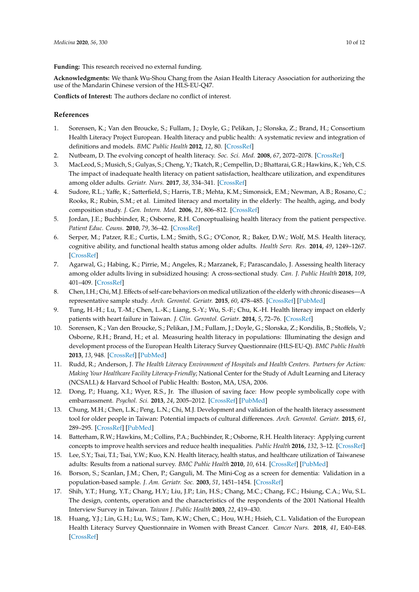**Funding:** This research received no external funding.

**Acknowledgments:** We thank Wu-Shou Chang from the Asian Health Literacy Association for authorizing the use of the Mandarin Chinese version of the HLS-EU-Q47.

**Conflicts of Interest:** The authors declare no conflict of interest.

# **References**

- <span id="page-9-0"></span>1. Sorensen, K.; Van den Broucke, S.; Fullam, J.; Doyle, G.; Pelikan, J.; Slonska, Z.; Brand, H.; Consortium Health Literacy Project European. Health literacy and public health: A systematic review and integration of definitions and models. *BMC Public Health* **2012**, *12*, 80. [\[CrossRef\]](http://dx.doi.org/10.1186/1471-2458-12-80)
- <span id="page-9-1"></span>2. Nutbeam, D. The evolving concept of health literacy. *Soc. Sci. Med.* **2008**, *67*, 2072–2078. [\[CrossRef\]](http://dx.doi.org/10.1016/j.socscimed.2008.09.050)
- <span id="page-9-2"></span>3. MacLeod, S.; Musich, S.; Gulyas, S.; Cheng, Y.; Tkatch, R.; Cempellin, D.; Bhattarai, G.R.; Hawkins, K.; Yeh, C.S. The impact of inadequate health literacy on patient satisfaction, healthcare utilization, and expenditures among older adults. *Geriatr. Nurs.* **2017**, *38*, 334–341. [\[CrossRef\]](http://dx.doi.org/10.1016/j.gerinurse.2016.12.003)
- <span id="page-9-3"></span>4. Sudore, R.L.; Yaffe, K.; Satterfield, S.; Harris, T.B.; Mehta, K.M.; Simonsick, E.M.; Newman, A.B.; Rosano, C.; Rooks, R.; Rubin, S.M.; et al. Limited literacy and mortality in the elderly: The health, aging, and body composition study. *J. Gen. Intern. Med.* **2006**, *21*, 806–812. [\[CrossRef\]](http://dx.doi.org/10.1111/j.1525-1497.2006.00539.x)
- <span id="page-9-4"></span>5. Jordan, J.E.; Buchbinder, R.; Osborne, R.H. Conceptualising health literacy from the patient perspective. *Patient Educ. Couns.* **2010**, *79*, 36–42. [\[CrossRef\]](http://dx.doi.org/10.1016/j.pec.2009.10.001)
- <span id="page-9-5"></span>6. Serper, M.; Patzer, R.E.; Curtis, L.M.; Smith, S.G.; O'Conor, R.; Baker, D.W.; Wolf, M.S. Health literacy, cognitive ability, and functional health status among older adults. *Health Serv. Res.* **2014**, *49*, 1249–1267. [\[CrossRef\]](http://dx.doi.org/10.1111/1475-6773.12154)
- <span id="page-9-6"></span>7. Agarwal, G.; Habing, K.; Pirrie, M.; Angeles, R.; Marzanek, F.; Parascandalo, J. Assessing health literacy among older adults living in subsidized housing: A cross-sectional study. *Can. J. Public Health* **2018**, *109*, 401–409. [\[CrossRef\]](http://dx.doi.org/10.17269/s41997-018-0048-3)
- <span id="page-9-7"></span>8. Chen, I.H.; Chi, M.J. Effects of self-care behaviors on medical utilization of the elderly with chronic diseases—A representative sample study. *Arch. Gerontol. Geriatr.* **2015**, *60*, 478–485. [\[CrossRef\]](http://dx.doi.org/10.1016/j.archger.2015.01.014) [\[PubMed\]](http://www.ncbi.nlm.nih.gov/pubmed/25687530)
- <span id="page-9-8"></span>9. Tung, H.-H.; Lu, T.-M.; Chen, L.-K.; Liang, S.-Y.; Wu, S.-F.; Chu, K.-H. Health literacy impact on elderly patients with heart failure in Taiwan. *J. Clin. Gerontol. Geriatr.* **2014**, *5*, 72–76. [\[CrossRef\]](http://dx.doi.org/10.1016/j.jcgg.2014.01.005)
- <span id="page-9-9"></span>10. Sorensen, K.; Van den Broucke, S.; Pelikan, J.M.; Fullam, J.; Doyle, G.; Slonska, Z.; Kondilis, B.; Stoffels, V.; Osborne, R.H.; Brand, H.; et al. Measuring health literacy in populations: Illuminating the design and development process of the European Health Literacy Survey Questionnaire (HLS-EU-Q). *BMC Public Health* **2013**, *13*, 948. [\[CrossRef\]](http://dx.doi.org/10.1186/1471-2458-13-948) [\[PubMed\]](http://www.ncbi.nlm.nih.gov/pubmed/24112855)
- <span id="page-9-10"></span>11. Rudd, R.; Anderson, J. *The Health Literacy Environment of Hospitals and Health Centers. Partners for Action: Making Your Healthcare Facility Literacy-Friendly*; National Center for the Study of Adult Learning and Literacy (NCSALL) & Harvard School of Public Health: Boston, MA, USA, 2006.
- <span id="page-9-11"></span>12. Dong, P.; Huang, X.I.; Wyer, R.S., Jr. The illusion of saving face: How people symbolically cope with embarrassment. *Psychol. Sci.* **2013**, *24*, 2005–2012. [\[CrossRef\]](http://dx.doi.org/10.1177/0956797613482946) [\[PubMed\]](http://www.ncbi.nlm.nih.gov/pubmed/23938275)
- <span id="page-9-12"></span>13. Chung, M.H.; Chen, L.K.; Peng, L.N.; Chi, M.J. Development and validation of the health literacy assessment tool for older people in Taiwan: Potential impacts of cultural differences. *Arch. Gerontol. Geriatr.* **2015**, *61*, 289–295. [\[CrossRef\]](http://dx.doi.org/10.1016/j.archger.2015.06.015) [\[PubMed\]](http://www.ncbi.nlm.nih.gov/pubmed/26153552)
- <span id="page-9-13"></span>14. Batterham, R.W.; Hawkins, M.; Collins, P.A.; Buchbinder, R.; Osborne, R.H. Health literacy: Applying current concepts to improve health services and reduce health inequalities. *Public Health* **2016**, *132*, 3–12. [\[CrossRef\]](http://dx.doi.org/10.1016/j.puhe.2016.01.001)
- <span id="page-9-14"></span>15. Lee, S.Y.; Tsai, T.I.; Tsai, Y.W.; Kuo, K.N. Health literacy, health status, and healthcare utilization of Taiwanese adults: Results from a national survey. *BMC Public Health* **2010**, *10*, 614. [\[CrossRef\]](http://dx.doi.org/10.1186/1471-2458-10-614) [\[PubMed\]](http://www.ncbi.nlm.nih.gov/pubmed/20950479)
- <span id="page-9-15"></span>16. Borson, S.; Scanlan, J.M.; Chen, P.; Ganguli, M. The Mini-Cog as a screen for dementia: Validation in a population-based sample. *J. Am. Geriatr. Soc.* **2003**, *51*, 1451–1454. [\[CrossRef\]](http://dx.doi.org/10.1046/j.1532-5415.2003.51465.x)
- <span id="page-9-16"></span>17. Shih, Y.T.; Hung, Y.T.; Chang, H.Y.; Liu, J.P.; Lin, H.S.; Chang, M.C.; Chang, F.C.; Hsiung, C.A.; Wu, S.L. The design, contents, operation and the characteristics of the respondents of the 2001 National Health Interview Survey in Taiwan. *Taiwan J. Public Health* **2003**, *22*, 419–430.
- <span id="page-9-17"></span>18. Huang, Y.J.; Lin, G.H.; Lu, W.S.; Tam, K.W.; Chen, C.; Hou, W.H.; Hsieh, C.L. Validation of the European Health Literacy Survey Questionnaire in Women with Breast Cancer. *Cancer Nurs.* **2018**, *41*, E40–E48. [\[CrossRef\]](http://dx.doi.org/10.1097/NCC.0000000000000475)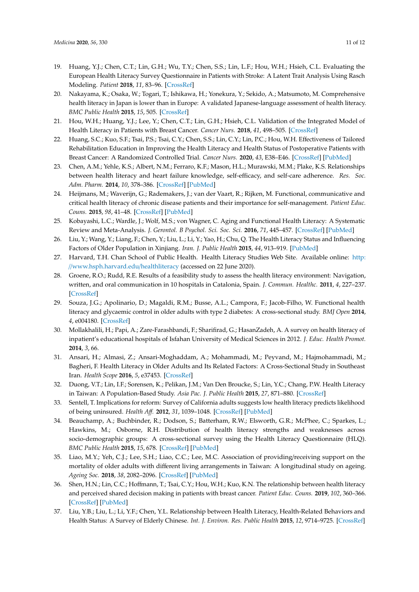- <span id="page-10-0"></span>19. Huang, Y.J.; Chen, C.T.; Lin, G.H.; Wu, T.Y.; Chen, S.S.; Lin, L.F.; Hou, W.H.; Hsieh, C.L. Evaluating the European Health Literacy Survey Questionnaire in Patients with Stroke: A Latent Trait Analysis Using Rasch Modeling. *Patient* **2018**, *11*, 83–96. [\[CrossRef\]](http://dx.doi.org/10.1007/s40271-017-0267-3)
- <span id="page-10-1"></span>20. Nakayama, K.; Osaka, W.; Togari, T.; Ishikawa, H.; Yonekura, Y.; Sekido, A.; Matsumoto, M. Comprehensive health literacy in Japan is lower than in Europe: A validated Japanese-language assessment of health literacy. *BMC Public Health* **2015**, *15*, 505. [\[CrossRef\]](http://dx.doi.org/10.1186/s12889-015-1835-x)
- <span id="page-10-2"></span>21. Hou, W.H.; Huang, Y.J.; Lee, Y.; Chen, C.T.; Lin, G.H.; Hsieh, C.L. Validation of the Integrated Model of Health Literacy in Patients with Breast Cancer. *Cancer Nurs.* **2018**, *41*, 498–505. [\[CrossRef\]](http://dx.doi.org/10.1097/NCC.0000000000000540)
- <span id="page-10-3"></span>22. Huang, S.C.; Kuo, S.F.; Tsai, P.S.; Tsai, C.Y.; Chen, S.S.; Lin, C.Y.; Lin, P.C.; Hou, W.H. Effectiveness of Tailored Rehabilitation Education in Improving the Health Literacy and Health Status of Postoperative Patients with Breast Cancer: A Randomized Controlled Trial. *Cancer Nurs.* **2020**, *43*, E38–E46. [\[CrossRef\]](http://dx.doi.org/10.1097/NCC.0000000000000665) [\[PubMed\]](http://www.ncbi.nlm.nih.gov/pubmed/31805025)
- <span id="page-10-4"></span>23. Chen, A.M.; Yehle, K.S.; Albert, N.M.; Ferraro, K.F.; Mason, H.L.; Murawski, M.M.; Plake, K.S. Relationships between health literacy and heart failure knowledge, self-efficacy, and self-care adherence. *Res. Soc. Adm. Pharm.* **2014**, *10*, 378–386. [\[CrossRef\]](http://dx.doi.org/10.1016/j.sapharm.2013.07.001) [\[PubMed\]](http://www.ncbi.nlm.nih.gov/pubmed/23953756)
- 24. Heijmans, M.; Waverijn, G.; Rademakers, J.; van der Vaart, R.; Rijken, M. Functional, communicative and critical health literacy of chronic disease patients and their importance for self-management. *Patient Educ. Couns.* **2015**, *98*, 41–48. [\[CrossRef\]](http://dx.doi.org/10.1016/j.pec.2014.10.006) [\[PubMed\]](http://www.ncbi.nlm.nih.gov/pubmed/25455794)
- 25. Kobayashi, L.C.; Wardle, J.; Wolf, M.S.; von Wagner, C. Aging and Functional Health Literacy: A Systematic Review and Meta-Analysis. *J. Gerontol. B Psychol. Sci. Soc. Sci.* **2016**, *71*, 445–457. [\[CrossRef\]](http://dx.doi.org/10.1093/geronb/gbu161) [\[PubMed\]](http://www.ncbi.nlm.nih.gov/pubmed/25504637)
- <span id="page-10-5"></span>26. Liu, Y.; Wang, Y.; Liang, F.; Chen, Y.; Liu, L.; Li, Y.; Yao, H.; Chu, Q. The Health Literacy Status and Influencing Factors of Older Population in Xinjiang. *Iran. J. Public Health* **2015**, *44*, 913–919. [\[PubMed\]](http://www.ncbi.nlm.nih.gov/pubmed/26576369)
- <span id="page-10-6"></span>27. Harvard, T.H. Chan School of Public Health. Health Literacy Studies Web Site. Available online: [http:](http://www.hsph.harvard.edu/healthliteracy) //[www.hsph.harvard.edu](http://www.hsph.harvard.edu/healthliteracy)/healthliteracy (accessed on 22 June 2020).
- <span id="page-10-7"></span>28. Groene, R.O.; Rudd, R.E. Results of a feasibility study to assess the health literacy environment: Navigation, written, and oral communication in 10 hospitals in Catalonia, Spain. *J. Commun. Healthc.* **2011**, *4*, 227–237. [\[CrossRef\]](http://dx.doi.org/10.1179/1753807611Y.0000000005)
- <span id="page-10-8"></span>29. Souza, J.G.; Apolinario, D.; Magaldi, R.M.; Busse, A.L.; Campora, F.; Jacob-Filho, W. Functional health literacy and glycaemic control in older adults with type 2 diabetes: A cross-sectional study. *BMJ Open* **2014**, *4*, e004180. [\[CrossRef\]](http://dx.doi.org/10.1136/bmjopen-2013-004180)
- <span id="page-10-9"></span>30. Mollakhalili, H.; Papi, A.; Zare-Farashbandi, F.; Sharifirad, G.; HasanZadeh, A. A survey on health literacy of inpatient's educational hospitals of Isfahan University of Medical Sciences in 2012. *J. Educ. Health Promot.* **2014**, *3*, 66.
- <span id="page-10-10"></span>31. Ansari, H.; Almasi, Z.; Ansari-Moghaddam, A.; Mohammadi, M.; Peyvand, M.; Hajmohammadi, M.; Bagheri, F. Health Literacy in Older Adults and Its Related Factors: A Cross-Sectional Study in Southeast Iran. *Health Scope* **2016**, *5*, e37453. [\[CrossRef\]](http://dx.doi.org/10.17795/jhealthscope-37453)
- <span id="page-10-11"></span>32. Duong, V.T.; Lin, I.F.; Sorensen, K.; Pelikan, J.M.; Van Den Broucke, S.; Lin, Y.C.; Chang, P.W. Health Literacy in Taiwan: A Population-Based Study. *Asia Pac. J. Public Health* **2015**, *27*, 871–880. [\[CrossRef\]](http://dx.doi.org/10.1177/1010539515607962)
- <span id="page-10-12"></span>33. Sentell, T. Implications for reform: Survey of California adults suggests low health literacy predicts likelihood of being uninsured. *Health A*ff*.* **2012**, *31*, 1039–1048. [\[CrossRef\]](http://dx.doi.org/10.1377/hlthaff.2011.0954) [\[PubMed\]](http://www.ncbi.nlm.nih.gov/pubmed/22566444)
- <span id="page-10-13"></span>34. Beauchamp, A.; Buchbinder, R.; Dodson, S.; Batterham, R.W.; Elsworth, G.R.; McPhee, C.; Sparkes, L.; Hawkins, M.; Osborne, R.H. Distribution of health literacy strengths and weaknesses across socio-demographic groups: A cross-sectional survey using the Health Literacy Questionnaire (HLQ). *BMC Public Health* **2015**, *15*, 678. [\[CrossRef\]](http://dx.doi.org/10.1186/s12889-015-2056-z) [\[PubMed\]](http://www.ncbi.nlm.nih.gov/pubmed/26194350)
- <span id="page-10-14"></span>35. Liao, M.Y.; Yeh, C.J.; Lee, S.H.; Liao, C.C.; Lee, M.C. Association of providing/receiving support on the mortality of older adults with different living arrangements in Taiwan: A longitudinal study on ageing. *Ageing Soc.* **2018**, *38*, 2082–2096. [\[CrossRef\]](http://dx.doi.org/10.1017/S0144686X17000484) [\[PubMed\]](http://www.ncbi.nlm.nih.gov/pubmed/30210180)
- <span id="page-10-15"></span>36. Shen, H.N.; Lin, C.C.; Hoffmann, T.; Tsai, C.Y.; Hou, W.H.; Kuo, K.N. The relationship between health literacy and perceived shared decision making in patients with breast cancer. *Patient Educ. Couns.* **2019**, *102*, 360–366. [\[CrossRef\]](http://dx.doi.org/10.1016/j.pec.2018.09.017) [\[PubMed\]](http://www.ncbi.nlm.nih.gov/pubmed/30270171)
- <span id="page-10-16"></span>37. Liu, Y.B.; Liu, L.; Li, Y.F.; Chen, Y.L. Relationship between Health Literacy, Health-Related Behaviors and Health Status: A Survey of Elderly Chinese. *Int. J. Environ. Res. Public Health* **2015**, *12*, 9714–9725. [\[CrossRef\]](http://dx.doi.org/10.3390/ijerph120809714)